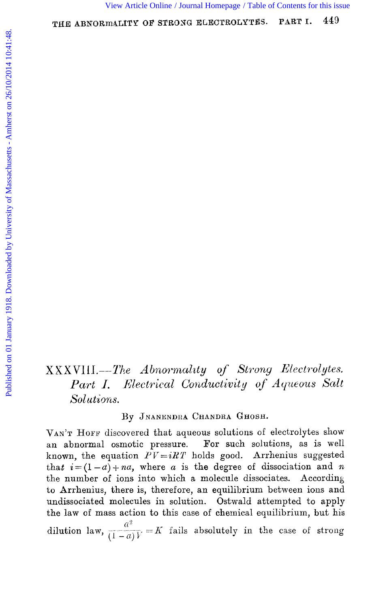# XXXVIII.-The Abnormality of Strong Electrolytes. Electrical Conductivity of Aqueous Salt  $Part I.$ Solutions.

By JNANENDRA CHANDRA GHOSH.

VAN'T HOFF discovered that aqueous solutions of electrolytes show an abnormal osmotic pressure. For such solutions, as is well known, the equation  $PV = iRT$  holds good. Arrhenius suggested that  $i = (1 - a) + na$ , where a is the degree of dissociation and n the number of ions into which a molecule dissociates. According to Arrhenius, there is, therefore, an equilibrium between ions and undissociated molecules in solution. Ostwald attempted to apply the law of mass action to this case of chemical equilibrium, but his dilution law,  $\frac{a^2}{(1-a)V} = K$  fails absolutely in the case of strong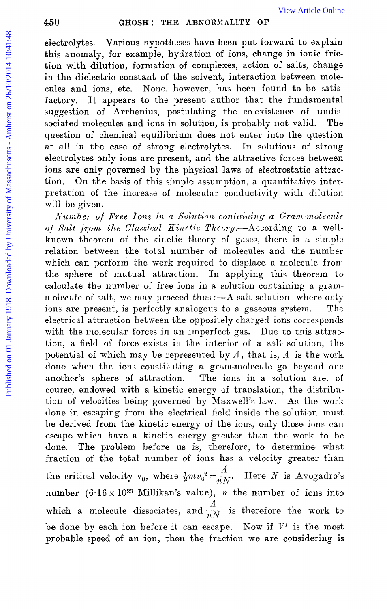electrolytes. Various hypotheses have been put forward to explain this anomaly, for example, hydration of ions, change in ionic friction with dilution, formation of complexes, action of salts, change in the dielectric constant of the solvent, interaction between molecules and ions, etc. None, however, has been found to be satisfactory. It appears to the present author that the fundamental suggestion of Arrhenius, postulating the co-existence of undissociated molecules and ions in solution, is probably not valid. The question of chemical equilibrium does not enter into the question at all in the case of strong electrolytes. In solutions of strong electrolytes only ions are present, and the attractive forces between ions are only governed by the physical laws of electrostatic attraction. On the basis of this simple assumption, a quantitative interpretation of the increase of molecular conductivity with dilution will be given.

*Number of Free Ions in a Solution containing a Gram-molecule of Salt from the Classical Kinetic Theory.*--According to a wellknown theorem of the kinetic theory of gases, there is a simple relation between the total number of molecules and the number which can perform the work required to displace a molecule from the sphere of mutual attraction. In applying this theorem to calculate the number **of** free ions in a solution containing a grammolecule of salt, we may proceed thus :- A salt solution, where only ions are present, is perfectly analogous to a gaseous system. The electrical attraction between the oppositely charged ions corresponds with the molecular forces in an imperfect gas. Due to this attraction, a field of force exists in the interior of a salt solution, the potential of which may be represented by *A,* that is, *A* is the work done when the ions constituting a gram-molecule go beyond one another's sphere of attraction. The ions in a solution are, of course, endowed with a kinetic energy of translation, the distribution of velocities being governed by Maxwell's law. As the work done in escaping from the electrical field inside the solution must be derived from the kinetic energy of the ions, only those ions can escape which have a kinetic energy greater than the work to be done. The problem before us is, therefore, to determine what fraction of the total number of ions has a velocity greater than the critical velocity  $v_0$ , where  $\frac{1}{2}mv_0^2 = \frac{A}{mN}$ . Here *N* is Avogadro's number  $(6.16 \times 10^{23} \text{ Millikan's value}), n$  the number of ions into which a molecule dissociates, and  $\frac{A}{iN}$  is therefore the work to be done by each ion before it can escape. Now if  $V'$  is the most probable speed of an ion, then the fraction we are considering is For each on 01 OHD is a model of statistic on the statistic on the statistic on the distribution, for example, hydration of complexes, action on formelic time in the dielectric constant of the solvent, interaction between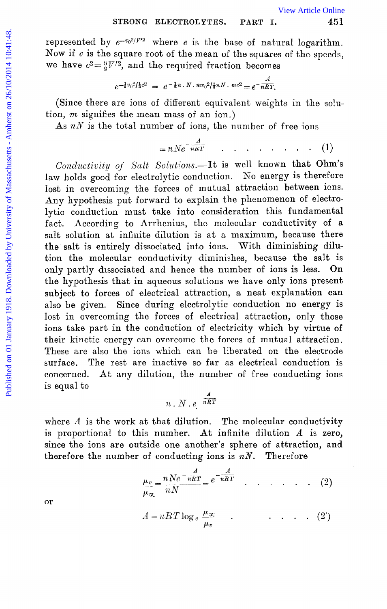represented by  $e^{-v_0^2/V^2}$  where e is the base of natural logarithm. Now if *c* is the square root of the mean of the squares of the speeds, we have  $c^2 = \frac{3}{2}V'^2$ , and the required fraction becomes

$$
e^{-\frac{1}{2}v_0^2/\frac{1}{3}c^2} = e^{-\frac{1}{2}n \cdot N \cdot mv_0^2/\frac{1}{3}nN \cdot mc^2} = e^{-\frac{A}{nRT}}.
$$

(Since there are ions of different equivalent weights in the solution, *m* signifies the mean mass of an ion.)

As  $nN$  is the total number of ions, the number of free ions

$$
= nNe^{-\frac{A}{nRT}} \qquad \qquad \ldots \qquad \qquad \ldots \qquad (1)
$$

Conductivity of Salt Solutions.--It is well known that Ohm's law holds good for electrolytic conduction. No energy is therefore lost in overcoming the forces of mutual attraction between ions. Any hypothesis put forward to explain the phenomenon of electrolytic conduction must take into consideration this fundamental fact. According to Arrhenius, the molecular conductivity of a salt solution at infinite dilution is at a maximum, because there the salt is entirely dissociated into ions. With diminishing dilution the molecular conductivity diminishes, because the salt is only partly dissociated and hence the number of ions is less. On the hypothesis that in aqueous solutions we have only ions present subject to forces of electrical attraction, a neat explanation can also be given. Since during electrolytic conduction no energy is lost in overcoming the forces of electrical attraction, only those ions take part in the conduction of electricity which by virtue of their kinetic energy can overcome the forces of mutual attraction. These are also the ions which can be liberated on the electrode surface. The rest are inactive so far as electrical conduction is concerned. At any dilution, the number of free conducting ions is equal to STRONG ELECTROLYTES. PART I. We Article Online<br>
Now if c is the square root of the mean of the squares of the speeds,<br>
we have  $e^2 = \frac{3}{2}V'^2$ , and the required fraction becomes<br>  $e^{-\frac{2}{16}}$ . Since there are ions of dif

$$
n \cdot N \cdot e^{-\frac{A}{nRT}}
$$

where *A* is the work at that dilution. The molecular conductivity is proportional to this number. *At* infinite dilution *A* is zero, since tho ions are outside one another's sphere of attraction, and therefore the number of conducting ions is  $nN$ . Therefore

$$
\frac{\mu_v}{\mu_{\infty}} = \frac{nN e^{-\frac{A}{nRT}}}{nN} = e^{-\frac{A}{nRT}} \qquad (2)
$$

$$
A = nRT \log_e \frac{\mu_{\infty}}{\mu_v} \qquad . \qquad \dots \qquad . \qquad . \qquad (2')
$$

 $\rho_{\infty}$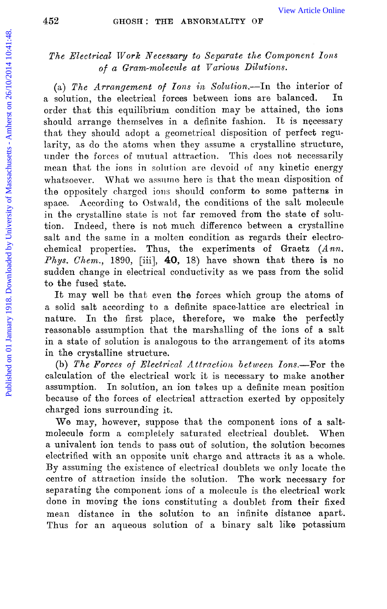# *The Electrical TVork Xecessary to Separate the Component Ions of a Gram-molecute at Various Dilutions.*

(a) *The Arrangement of Tons in* Solution.-In the interior of a solution, the electrical forces between ions are balanced. order that, this equilibrium condition may be attained, the ions should arrange themselves in a definite fashion. It is necessary that they should adopt a geometrical disposition of perfect regularity, as do the atoms when they assume a crystalline structure, under the forces of mutual attraction. This does not necessarily mean that the ions in solution are devoid of any kinetic energy whatsoever. What we assume here is that the mean disposition of the oppositely cliargcd ions should conform to some patterns in space. According to Ostwald, the conditions of the salt molecule in the crystalline state is not far removed from the state of solution. Indeed, there is not much difference between a crystalline salt and the same in a molten condition as regards their electrochemical properties. Thus, the experiments of Graetz *(Ann. Phys. Chem.,* 1890, [iii], **40,** 18) have shown that there is no sudden change in electrical conductivity as we pass from the solid to the fused state. For  $\frac{1}{2}$  CHOSH I: THE ABNORMALTTY OF<br>
The Electrical Work Necessary to Separate the Component Ions<br>
of a Gram-molecule at Various Dilutions.<br>
(a) The Article Online control of Massachusetts of Toms in Solution, the e

It may well be that even the forces which group the atoms of a solid salt according to a definite space-lattice are electrical in nature. In the first place, therefore, we make the perfectly reasonable assumption that the marshalling of the ions of a salt in a state of solution is analogous to the arrangement of its atoms in the crystalline structure.

(b) The Forces of Electrical Attraction between Ions.--For the calculation of the electrical work it is necessary to make another assumption. In solution, an ion takes up a definite mean position because of the forces of electrical attraction exerted by oppositely charged ions surrounding it.

We may, however, suppose that the component ions of a saltmolecule form a completely saturated electrical doublet. When *a* univalent ion tends to pass out of solution, the solution becomes electrified with an opposite unit charge and attracts it as a whole. By assuming the existence of electrical doublets we only locate the centre of attraction inside the solution. The work necessary for separating the component ions of a molecule is the electrical work done in moving the ions constituting a doublet from their fixed mean distance in the solution to an infinite distance apart. Thus for an aqueous solution of a binary salt **like** potassium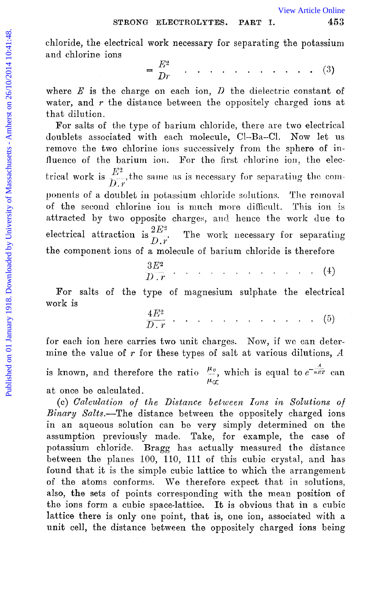$453\,$ 

chloride, the electrical work necessary for separating the potassium and chlorine ions

$$
= \frac{E^2}{Dr} \qquad \qquad \ldots \qquad \qquad \ldots \qquad \ldots \qquad \qquad (3)
$$

where  $E$  is the charge on each ion,  $D$  the dielectric constant of water, and  $r$  the distance between the oppositely charged ions at that dilution.

For salts of the type of barium chloride, there are two electrical doublets associated with each molecule, Cl-Ba-Cl. Now let us remove the two chlorine ions successively from the sphere of influence of the barium ion. For the first chlorine ion, the electrical work is  $\frac{E^2}{D \cdot r}$ , the same as is necessary for separating the components of a doublet in potassium chloride solutions. The removal of the second chlorine ion is much more difficult. This ion is attracted by two opposite charges, and hence the work due to electrical attraction is  $\frac{2E^3}{D\cdot r}$ . The work necessary for separating the component ions of a molecule of barium chloride is therefore

| $3E^2$                     |  |  |  |  |  |  |  |
|----------------------------|--|--|--|--|--|--|--|
| $\overline{D \cdot r}$ (4) |  |  |  |  |  |  |  |

For salts of the type of magnesium sulphate the electrical work is

 $\frac{4E^2}{D-r}$  . . . . . . . . . . . . . (5)

for each ion here carries two unit charges. Now, if we can determine the value of  $r$  for these types of salt at various dilutions,  $A$ is known, and therefore the ratio  $\frac{\mu_v}{\mu_{\alpha}}$ , which is equal to  $e^{-\frac{A}{nRT}}$  can

at once be calculated.

(c) Calculation of the Distance between Ions in Solutions of Binary Salts.-The distance between the oppositely charged ions in an aqueous solution can be very simply determined on the assumption previously made. Take, for example, the case of potassium chloride. Bragg has actually measured the distance between the planes 100, 110, 111 of this cubic crystal, and has found that it is the simple cubic lattice to which the arrangement of the atoms conforms. We therefore expect that in solutions, also, the sets of points corresponding with the mean position of the ions form a cubic space-lattice. It is obvious that in a cubic lattice there is only one point, that is, one ion, associated with a unit cell, the distance between the oppositely charged ions being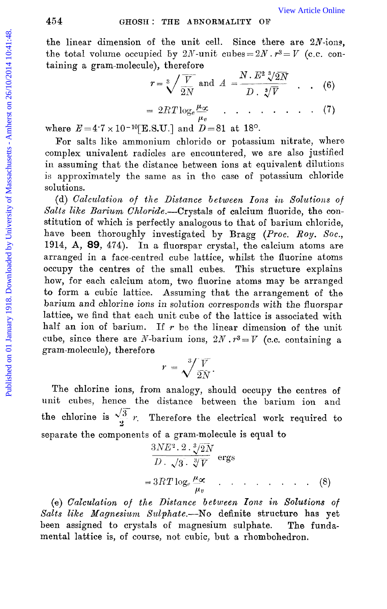the linear dimension of the unit cell. Since there are  $2N$ -ions, the total volume occupied by  $2N$ -unit cubes =  $2N \cdot r^3 = V$  (c.c. containing a gram-molecule), therefore

$$
r = \sqrt[3]{\frac{V}{2N}} \text{ and } A = \frac{N \cdot E^2 \sqrt[3]{2N}}{D \cdot \sqrt[3]{V}} \quad . \quad . \quad (6)
$$

$$
= 2RT \log_e \frac{\mu_{\infty}}{\mu_v} \qquad \qquad \ldots \qquad (7)
$$

where  $E=4.7 \times 10^{-10}$ [E.S.U.] and  $D=81$  at 18°.

For salts like ammonium chloride or potassium nitrate, where complex univalent radicles are encountered, we are also justified in assuming that the distance between ions at equivalent dilutions is approximately the same as in the case of potassium chloride solutions.

(d) *Calculation* of the Distance *between Ions* in *Solutions* of *Salts like Barium Chloride.*-Crystals of calcium fluoride, the constitution of which is perfectly analogous to that of barium chloride, have been thoroughly investigated by Bragg (Proc. Roy. Soc., **1914, A, 89, 474).** In *a* fluorspar crysbal, the calcium atoms are arranged in a face-centred cube lattice, whilst the fluorine atoms occupy the centres of the small cubes. This structure explains how, for each calcium atom, two fluorine atoms may be arranged to form a cubic lattice. Assuming that the arrangement of the barium and *chlorine* ions in solution corresponds with the fluorspar lattice, we find that each unit cube of the lattice is associated with half an ion of barium. If  $r$  be the linear dimension of the unit cube, since there are N-barium ions,  $2N \cdot r^3 = V$  (c.c. containing a gram-molecule), therefore 454 **ONOSIT:** THE ARYORMALITY OF<br>
the linear dimension of the unit cell. Since there are 2*N*-ons,<br>
the total volume occupied by 2*N*-unit cubes  $-2X \cdot r^2 = V$  (c.c. con-<br>
taining a gram-molecule), therefore<br>  $r = \sqrt[3]{V}$  an

$$
r = \sqrt[3]{\frac{V}{2N}}.
$$

The chlorine ions, from analogy, should occupy the centres of unit cubes, hence the distance between the barium ion and the chlorine is  $\frac{\sqrt{3}}{2}$  *r*. Therefore the electrical work required to separate the components of a gram-molecule is equal to

$$
\frac{3NE^2 \cdot 2 \cdot \sqrt[3]{2N}}{D \cdot \sqrt{3} \cdot \sqrt[3]{V}} \text{ ergs}
$$
  
=  $3RT \log_e \frac{\mu_\infty}{\mu_v}$  (8)

*(e) Calculation of the Distance between Ions in Solutions of Salts* like *Magnesiuni Szdpkate.--No* definite structure has yet been assigned to crystals of magnesium sulphate. The fundamental lattice is, of course, not cubic, but a rhombohedron.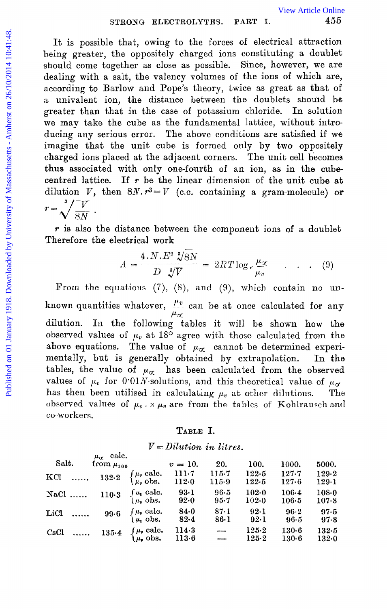It is possible that, owing to the forces of electrical attraction being greater, the oppositely charged ions constituting a doublet should come together as close as possible. Since, however, we are dealing with a salt, the valency volumes of the ions of which are, according to Barlow and Pope's theory, twice as great as that of a univalent ion, the distance between the doublets should be greater than that in the case of potassium chloride. In solution we may take the cube as the fundamental lattice, without introducing any serious error. The above conditions are satisfied if we imagine that the unit cube is formed only by two oppositely charged ions placed at the adjacent corners. The unit cell becomes thus associated with only one-fourth of an ion, as in the cubecentred lattice. If *T* be the linear dimension of the unit cube at dilution *V*, then  $8N \cdot r^3 = V$  (c.c. containing a gram-molecule) or  $r=\sqrt[3]{\frac{V}{8N}}$ . STRONG ELECTROLYTES. PART I. We Article Online and S5<br>  $\frac{3}{2}$  It is possible that, owing to the forces of electrical attraction<br>
being greater, the oppositely charged ions constituting a doublet<br>
should cone together a

*T* is also the distance between the component ions of a doublet Therefore the electrical **work** -\_

$$
A = \frac{4 \cdot N \cdot E^2 \sqrt[3]{8N}}{D \sqrt[3]{V}} = 2RT \log_e \frac{\mu_{\infty}}{\mu_v} \qquad . \qquad . \qquad (9)
$$

From the equations (7), (8), and (9), which contain no unknown quantities whatever,  $\frac{\mu_v}{\sigma}$  can be at once calculated for any dilution. In the following tables it will be shown how the observed values of  $\mu_{\nu}$  at 18<sup>o</sup> agree with those calculated from the above equations. The value of  $\mu_{\alpha}$  cannot be determined experimentally, but is generally obtained by extrapolation. In the tables, the value of  $\mu_{\alpha}$  has been calculated from the observed values of  $\mu_v$  for 0.01*N*-solutions, and this theoretical value of  $\mu_d$ has then been utilised in calculating  $\mu_v$  at other dilutions. The observed values of  $\mu_v \times \mu_v$  are from the tables of Kohlrausch and co-workers.

## **TABLE I.**

# *V =Dilution in litres.*

 $p = \text{cal}$ 

| Salt. |          | $\mu_{\alpha}$ care.<br>from $\mu_{100}$ |                                                                                                       | $v = 10$ .       | 20.                      | 100.           | 1000.                  | 5000.              |
|-------|----------|------------------------------------------|-------------------------------------------------------------------------------------------------------|------------------|--------------------------|----------------|------------------------|--------------------|
| KCl   |          |                                          | $\cdots \cdots \quad 132.2 \quad \begin{cases} \mu_v \text{ calc.} \\ \mu_v \text{ obs.} \end{cases}$ | 111.7<br>112.0   | 115.7<br>$115-9$         | 122.5<br>122.5 | 127.7<br>127.6         | 129.2<br>129.1     |
|       |          |                                          | <b>NaCl</b> 110.3 $\begin{cases} \mu_v \text{ calc.} \\ \mu_v \text{ obs.} \end{cases}$               | $93-1$<br>92.0   | $96 - 5$<br>$95 - 7$     | 102.0<br>102.0 | 106.4<br>106.5         | $108 - 0$<br>107.8 |
| LiCl  |          | 99.6                                     | $\begin{cases} \mu_v \text{ calc.} \\ \mu_v \text{ obs.} \end{cases}$                                 | 84.0<br>$82 - 4$ | 87.1<br>$86-1$           | 92.1<br>$92-1$ | $96 - 2$<br>96.5       | 97.5<br>97.8       |
| CsCl  | $\cdots$ |                                          | 135.4 $\begin{cases} \mu_v \text{ calc.} \\ \mu_v \text{ obs.} \end{cases}$                           | 114.3<br>113.6   | $\overline{\phantom{a}}$ | 125.2<br>125.2 | $130 - 6$<br>$130 - 6$ | 132.5<br>132.0     |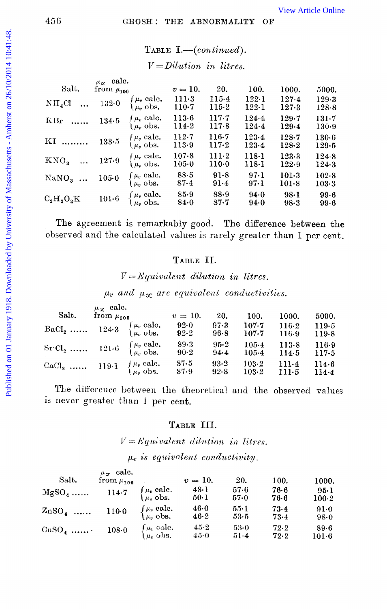TABLE I.-(continued).  $\sim$   $\sim$ 

| $V = D1l1$ in litres. |  |
|-----------------------|--|
|-----------------------|--|

|                       | $\mu_{\alpha}$ calc. |                                                                       |                    |                    |                        |                    |                    |
|-----------------------|----------------------|-----------------------------------------------------------------------|--------------------|--------------------|------------------------|--------------------|--------------------|
| Salt.                 | from $\mu_{100}$     |                                                                       | $v=10.$            | 20.                | 100.                   | 1000.              | 5000.              |
| $NH_{4}Cl$            | 132.0                | $\int \mu_v$ cale.<br>$\mu_v$ obs.                                    | 111-3<br>110.7     | $115 - 4$<br>115.2 | 122.1<br>122-1         | 127.4<br>$127 - 3$ | 129.3<br>$128 - 8$ |
| KBr                   | 134.5                | $\mu_v$ calc.<br>$\mu_{\nu}$ obs.                                     | 113.6<br>114.2     | 117.7<br>117.8     | $124 - 4$<br>$124 - 4$ | 129.7<br>129.4     | $131 - 7$<br>130.9 |
| KI                    | 133.5                | $\int \mu_v$ calc.<br>$\mu_{\theta}$ obs.                             | 112.7<br>113.9     | 116.7<br>117.2     | $123 - 4$<br>123.4     | $128 - 7$<br>128.2 | $130 - 6$<br>129.5 |
| KNO <sub>s</sub>      | 127.9                | $\int \mu_r$ calc.<br>$\mu_n$ obs.                                    | 107.8<br>105.0     | $111-2$<br>$110-0$ | 118.1<br>118.1         | 123.3<br>122.9     | 124.8<br>124.3     |
| $\text{NaNO}_3 \dots$ | 105.0                | $\int \mu_v$ calc.<br>$\mu_n$ obs.                                    | $88-5$<br>$87 - 4$ | 91.8<br>91.4       | 97.1<br>97.1           | $101-3$<br>$101-8$ | 102.8<br>103.3     |
| $C_2H_3O_2K$          | $101-6$              | $\begin{cases} \mu_v \text{ calc.} \\ \mu_v \text{ obs.} \end{cases}$ | 85.9<br>84.0       | 88.9<br>$87 - 7$   | 94.0<br>94.0           | $98 - 1$<br>$98-3$ | 99.6<br>$99-6$     |

The agreement is remarkably good. The difference between the observed and the calculated values is rarely greater than 1 per cent.

#### TABLE II.

 $V = Equivalent$  dilution in litres.

 $\mu_v$  and  $\mu_{\infty}$  are equivalent conductivities.

| Salt.                                                                                          | $\mu_{\alpha}$ calc.<br>from $\mu_{100}$ | $v = 10$ .       | 20.              | 100.               | 1000.              | 5000.            |
|------------------------------------------------------------------------------------------------|------------------------------------------|------------------|------------------|--------------------|--------------------|------------------|
| BaCl <sub>2</sub> 124.3 $\begin{cases} \mu_v \text{ calc.} \\ \mu_v \text{ obs.} \end{cases}$  |                                          | 92.0<br>$92 - 2$ | 97.3<br>$96-8$   | 107.7<br>$107 - 7$ | $116-2$<br>116.9   | 119.5<br>119.8   |
| Sr Cl <sub>2</sub> 121.6 $\begin{cases} \mu_v \text{ calc.} \\ \mu_v \text{ obs.} \end{cases}$ |                                          | 89.3<br>90.2     | $95 - 2$<br>94.4 | $105-4$<br>105.4   | 113.8<br>114.5     | 116.9<br>117.5   |
| CaCl <sub>2</sub> 119.1 $\begin{cases} \mu_v \text{ calc.} \\ \mu_v \text{ obs.} \end{cases}$  |                                          | 87.5<br>87.9     | 93.2<br>92.8     | 103.2<br>103.2     | $111-4$<br>$111-5$ | 114.6<br>$114-4$ |

The difference between the theoretical and the observed values is never greater than 1 per cent.

### TABLE III.

 $V = Equivalent$  dilution in litres.

 $\mu_v$  is equivalent conductivity.

| Salt.    | $\mu_{\alpha}$ calc.<br>from $\mu_{100}$ |                                                                       | $v = 10.$      | 20.          | 100.         | 1000.           |
|----------|------------------------------------------|-----------------------------------------------------------------------|----------------|--------------|--------------|-----------------|
| $MgSO_4$ | 114.7                                    | $\int \mu_{\bm{v}} \; \text{calc.} \ \mu_{\bm{v}} \; \text{obs.}$     | $48-1$<br>50-l | 57.6<br>57.0 | 76.6<br>76.6 | 95.1<br>$100-2$ |
| $ZnSO_4$ | $110-0$                                  | $\begin{cases} \mu_v \text{ calc.} \\ \mu_v \text{ obs.} \end{cases}$ | 46.0<br>46.2   | 55-1<br>53.5 | 73.4<br>73.4 | 91.0<br>98.0    |
| $CuSO4$  | 108.0                                    | $\int \mu_v$ calc.<br>$\mu_v$ obs.                                    | $45-2$<br>45.0 | 53.0<br>51.4 | 72.2<br>72.2 | 89-6<br>101·6   |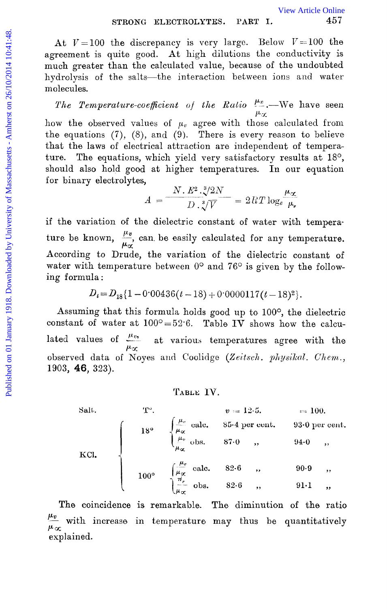At  $V=100$  the discrepancy is very large. Below  $V=100$  the agreement is quite good. **At** high dilutions the conductivity is much greater than the calculated value, because of the undoubted hydrolysis of the salts-the interaction between ions and water molecules.

The Temperature-coefficient of the Ratio  $\frac{\mu_p}{\mu_\chi}$ . We have seen

how the observed values of  $\mu_v$  agree with those calculated from the equations  $(7)$ ,  $(8)$ , and  $(9)$ . There is every reason to believe that the laws of electrical attraction are independent of temperature. The equations, which yield very satisfactory results at 18°, should also hold good at higher temperatures. In our equation for binary electrolytes, STRONG ELECTROLYTES. PART I. [View Article Online](http://dx.doi.org/10.1039/ct9181300449)<br>
agreement is quite good. At high dilutions the conductivity is<br>
mode greement is quite good. At high dilutions the conductivity is<br>
mode greement is quite good. At high di

 $A = \frac{N.E^2.\sqrt[3]{2N}}{D.\sqrt[3]{V}} = 2RT \log_e \frac{\mu_{\alpha}}{\mu_{\nu}}$ 

if the variation of the dielectric constant of water with temperature be known,  $\frac{\mu_v}{\mu_{\alpha}}$  can be easily calculated for any temperature. According to Drude, the variation of the dielectric constant of water with temperature between  $0^{\circ}$  and  $76^{\circ}$  is given by the following formula :

$$
D_t = D_{18} \{ 1 - 0.00436(t - 18) + 0.0000117(t - 18)^2 \}.
$$

Assuming that this formula holds good up to 100°, the dielectric constant of water at  $100^{\circ} = 52.6$ . Table IV shows how the calculated values of  $\frac{\mu v}{\mu x}$  at various temperatures agree with the observed data of Noyes and Coolidge *(Zeitsch. physikal. Chem.,* 1903, **46,** 323).

T<sup>o</sup>.  $v = 12.5$ .  $= 100$ .<br>
18<sup>o</sup>  $\begin{cases} \frac{\mu_v}{\mu_\infty} \text{ calc.} & 85.4 \text{ per cent.} \\ \frac{\mu_v}{\mu_\infty} \text{obs.} & 87.0 \end{cases}$ , 93.0 per cent.<br>
100<sup>o</sup>  $\begin{cases} \frac{\mu_v}{\mu_\infty} \text{calc.} & 82.6 \end{cases}$ , 90.9 ,  $\begin{cases} \frac{\mu_v}{\mu_\infty} \text{obs.} & 82.6 \end{cases}$ , 91.1 , Salt. KCI.

**The** coincidence is remarkable. The diminution of the ratio  $\frac{\mu_v}{\mu_{cr}}$  with increase in temperature may thus be quantitatively explained.